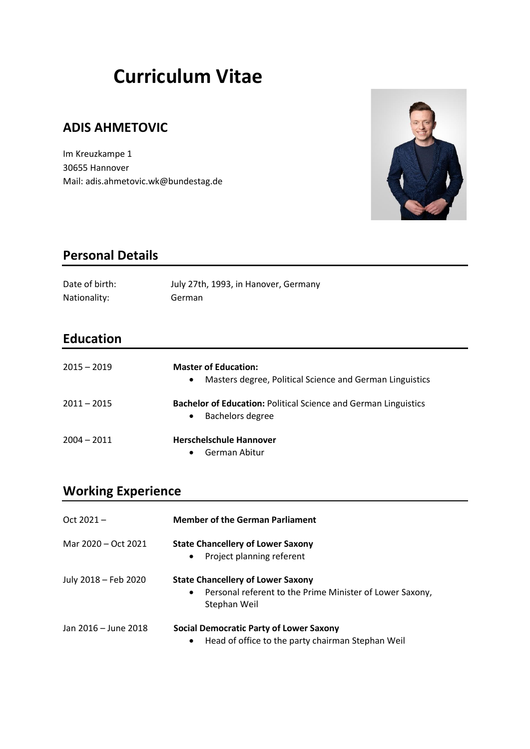# **Curriculum Vitae**

## **ADIS AHMETOVIC**

Im Kreuzkampe 1 30655 Hannover Mail: adis.ahmetovic.wk@bundestag.de



## **Personal Details**

| Date of birth: | July 27th, 1993, in Hanover, Germany |
|----------------|--------------------------------------|
| Nationality:   | German                               |

## **Education**

| $2015 - 2019$ | <b>Master of Education:</b><br>Masters degree, Political Science and German Linguistics<br>$\bullet$    |
|---------------|---------------------------------------------------------------------------------------------------------|
| $2011 - 2015$ | <b>Bachelor of Education: Political Science and German Linguistics</b><br>Bachelors degree<br>$\bullet$ |
| $2004 - 2011$ | <b>Herschelschule Hannover</b><br>German Abitur<br>$\bullet$                                            |

# **Working Experience**

| $Oct 2021 -$         | <b>Member of the German Parliament</b>                                                                                    |
|----------------------|---------------------------------------------------------------------------------------------------------------------------|
| Mar 2020 – Oct 2021  | <b>State Chancellery of Lower Saxony</b><br>Project planning referent<br>$\bullet$                                        |
| July 2018 - Feb 2020 | <b>State Chancellery of Lower Saxony</b><br>Personal referent to the Prime Minister of Lower Saxony,<br>٠<br>Stephan Weil |
| Jan 2016 - June 2018 | Social Democratic Party of Lower Saxony<br>Head of office to the party chairman Stephan Weil<br>$\bullet$                 |